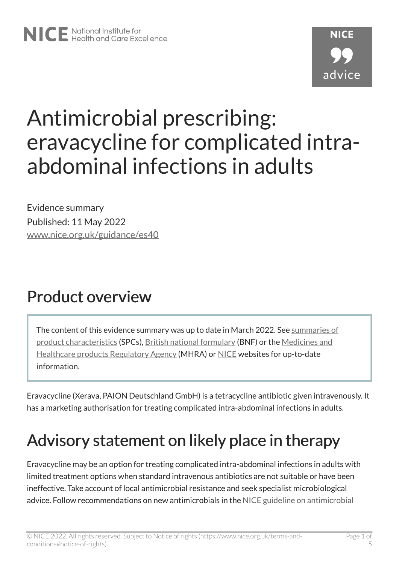# Antimicrobial prescribing: eravacycline for complicated intraabdominal infections in adults

Evidence summary Published: 11 May 2022 [www.nice.org.uk/guidance/es40](https://www.nice.org.uk/guidance/es40) 

## Product overview

The content of this evidence summary was up to date in March 2022. See [summaries of](https://www.medicines.org.uk/emc/) [product characteristics](https://www.medicines.org.uk/emc/) (SPCs), [British national formulary](https://bnf.nice.org.uk/?) (BNF) or the [Medicines and](https://www.gov.uk/government/organisations/medicines-and-healthcare-products-regulatory-agency) [Healthcare products Regulatory Agency](https://www.gov.uk/government/organisations/medicines-and-healthcare-products-regulatory-agency) (MHRA) or [NICE](https://www.nice.org.uk/) websites for up-to-date information.

Eravacycline (Xerava, PAION Deutschland GmbH) is a tetracycline antibiotic given intravenously. It has a marketing authorisation for treating complicated intra-abdominal infections in adults.

# Advisory statement on likely place in therapy

Eravacycline may be an option for treating complicated intra-abdominal infections in adults with limited treatment options when standard intravenous antibiotics are not suitable or have been ineffective. Take account of local antimicrobial resistance and seek specialist microbiological advice. Follow recommendations on new antimicrobials in the [NICE guideline on antimicrobial](https://www.nice.org.uk/guidance/ng15)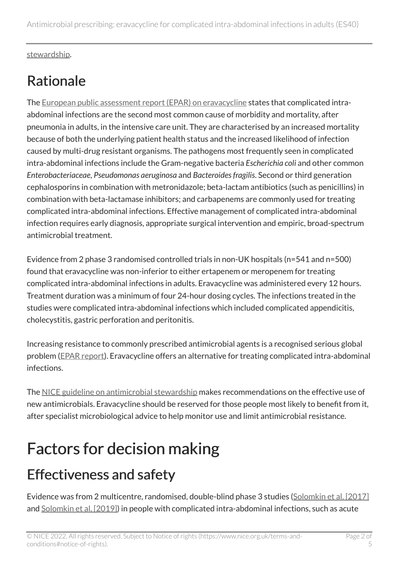[stewardship](https://www.nice.org.uk/guidance/ng15).

## Rationale

The [European public assessment report \(EPAR\) on eravacycline](https://www.ema.europa.eu/en/medicines/human/EPAR/xerava#product-information-section) states that complicated intraabdominal infections are the second most common cause of morbidity and mortality, after pneumonia in adults, in the intensive care unit. They are characterised by an increased mortality because of both the underlying patient health status and the increased likelihood of infection caused by multi-drug resistant organisms. The pathogens most frequently seen in complicated intra-abdominal infections include the Gram-negative bacteria *Escherichia coli* and other common *Enterobacteriaceae*, *Pseudomonas aeruginosa* and *Bacteroides fragilis*. Second or third generation cephalosporins in combination with metronidazole; beta-lactam antibiotics (such as penicillins) in combination with beta-lactamase inhibitors; and carbapenems are commonly used for treating complicated intra-abdominal infections. Effective management of complicated intra-abdominal infection requires early diagnosis, appropriate surgical intervention and empiric, broad-spectrum antimicrobial treatment.

Evidence from 2 phase 3 randomised controlled trials in non-UK hospitals (n=541 and n=500) found that eravacycline was non-inferior to either ertapenem or meropenem for treating complicated intra-abdominal infections in adults. Eravacycline was administered every 12 hours. Treatment duration was a minimum of four 24-hour dosing cycles. The infections treated in the studies were complicated intra-abdominal infections which included complicated appendicitis, cholecystitis, gastric perforation and peritonitis.

Increasing resistance to commonly prescribed antimicrobial agents is a recognised serious global problem ([EPAR report](https://www.ema.europa.eu/en/documents/assessment-report/xerava-epar-public-assessment-report_en.pdf)). Eravacycline offers an alternative for treating complicated intra-abdominal infections.

The [NICE guideline on antimicrobial stewardship](https://www.nice.org.uk/guidance/ng15) makes recommendations on the effective use of new antimicrobials. Eravacycline should be reserved for those people most likely to benefit from it, after specialist microbiological advice to help monitor use and limit antimicrobial resistance.

# Factors for decision making

#### Effectiveness and safety

Evidence was from 2 multicentre, randomised, double-blind phase 3 studies ([Solomkin et al. \[2017\]](https://pubmed.ncbi.nlm.nih.gov/27851857/)  and [Solomkin et al. \[2019\]\)](https://pubmed.ncbi.nlm.nih.gov/30561562/) in people with complicated intra-abdominal infections, such as acute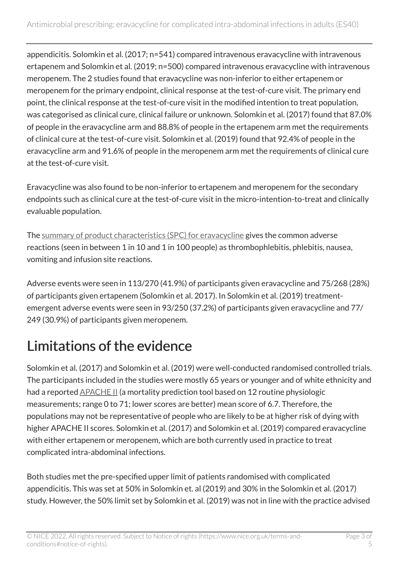appendicitis. Solomkin et al. (2017; n=541) compared intravenous eravacycline with intravenous ertapenem and Solomkin et al. (2019; n=500) compared intravenous eravacycline with intravenous meropenem. The 2 studies found that eravacycline was non-inferior to either ertapenem or meropenem for the primary endpoint, clinical response at the test-of-cure visit. The primary end point, the clinical response at the test-of-cure visit in the modified intention to treat population, was categorised as clinical cure, clinical failure or unknown. Solomkin et al. (2017) found that 87.0% of people in the eravacycline arm and 88.8% of people in the ertapenem arm met the requirements of clinical cure at the test-of-cure visit. Solomkin et al. (2019) found that 92.4% of people in the eravacycline arm and 91.6% of people in the meropenem arm met the requirements of clinical cure at the test-of-cure visit.

Eravacycline was also found to be non-inferior to ertapenem and meropenem for the secondary endpoints such as clinical cure at the test-of-cure visit in the micro-intention-to-treat and clinically evaluable population.

The [summary of product characteristics \(SPC\) for eravacycline](https://www.medicines.org.uk/emc/product/13327/smpc/) gives the common adverse reactions (seen in between 1 in 10 and 1 in 100 people) as thrombophlebitis, phlebitis, nausea, vomiting and infusion site reactions.

Adverse events were seen in 113/270 (41.9%) of participants given eravacycline and 75/268 (28%) of participants given ertapenem (Solomkin et al. 2017). In Solomkin et al. (2019) treatmentemergent adverse events were seen in 93/250 (37.2%) of participants given eravacycline and 77/ 249 (30.9%) of participants given meropenem.

#### Limitations of the evidence

Solomkin et al. (2017) and Solomkin et al. (2019) were well-conducted randomised controlled trials. The participants included in the studies were mostly 65 years or younger and of white ethnicity and had a reported **APACHE II** (a mortality prediction tool based on 12 routine physiologic measurements; range 0 to 71; lower scores are better) mean score of 6.7. Therefore, the populations may not be representative of people who are likely to be at higher risk of dying with higher APACHE II scores. Solomkin et al. (2017) and Solomkin et al. (2019) compared eravacycline with either ertapenem or meropenem, which are both currently used in practice to treat complicated intra-abdominal infections.

Both studies met the pre-specified upper limit of patients randomised with complicated appendicitis. This was set at 50% in Solomkin et. al (2019) and 30% in the Solomkin et al. (2017) study. However, the 50% limit set by Solomkin et al. (2019) was not in line with the practice advised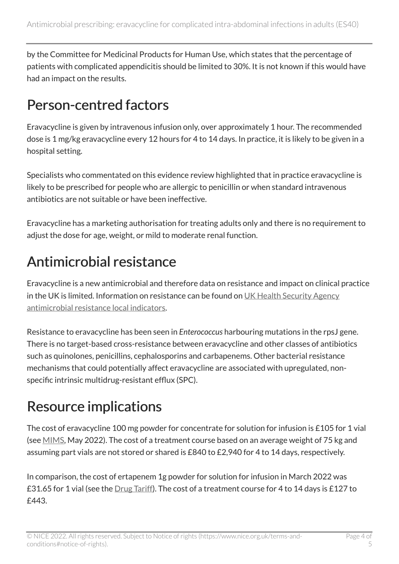by the Committee for Medicinal Products for Human Use, which states that the percentage of patients with complicated appendicitis should be limited to 30%. It is not known if this would have had an impact on the results.

#### Person-centred factors

Eravacycline is given by intravenous infusion only, over approximately 1 hour. The recommended dose is 1 mg/kg eravacycline every 12 hours for 4 to 14 days. In practice, it is likely to be given in a hospital setting.

Specialists who commentated on this evidence review highlighted that in practice eravacycline is likely to be prescribed for people who are allergic to penicillin or when standard intravenous antibiotics are not suitable or have been ineffective.

Eravacycline has a marketing authorisation for treating adults only and there is no requirement to adjust the dose for age, weight, or mild to moderate renal function.

#### Antimicrobial resistance

Eravacycline is a new antimicrobial and therefore data on resistance and impact on clinical practice in the UK is limited. Information on resistance can be found on UK Health Security Agency [antimicrobial resistance local indicators.](https://fingertips.phe.org.uk/profile/amr-local-indicators)

Resistance to eravacycline has been seen in *Enterococcus* harbouring mutations in the rpsJ gene. There is no target-based cross-resistance between eravacycline and other classes of antibiotics such as quinolones, penicillins, cephalosporins and carbapenems. Other bacterial resistance mechanisms that could potentially affect eravacycline are associated with upregulated, nonspecific intrinsic multidrug-resistant efflux (SPC).

#### Resource implications

The cost of eravacycline 100 mg powder for concentrate for solution for infusion is £105 for 1 vial (see [MIMS,](https://www.mims.co.uk/drugs/infections-and-infestations/bacterial-infections/xerava) May 2022). The cost of a treatment course based on an average weight of 75 kg and assuming part vials are not stored or shared is £840 to £2,940 for 4 to 14 days, respectively.

In comparison, the cost of ertapenem 1g powder for solution for infusion in March 2022 was £31.65 for 1 vial (see the *Drug Tariff*). The cost of a treatment course for 4 to 14 days is £127 to £443.